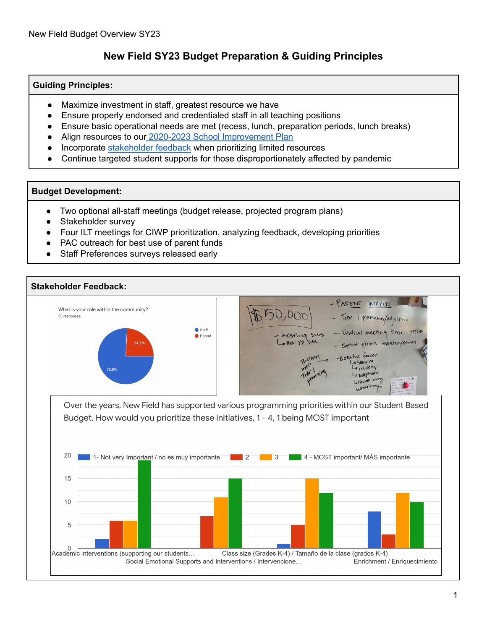## **New Field SY23 Budget Preparation & Guiding Principles**

### **Guiding Principles:**

- Maximize investment in staff, greatest resource we have
- Ensure properly endorsed and credentialed staff in all teaching positions
- Ensure basic operational needs are met (recess, lunch, preparation periods, lunch breaks)
- Align resources to our 2020-2023 School [Improvement](https://docs.google.com/spreadsheets/d/1PBQt-bgXR77qfLfLo8sh_m5SI-ZPc9BjgLHTT8UOdnQ/edit#gid=0) Plan
- Incorporate [stakeholder](https://docs.google.com/spreadsheets/d/1IrLyflqGGIPJ8BgWz5E9RsCjZRJ6NZxVWsIVXUt36Is/edit#gid=1424813357) feedback when prioritizing limited resources
- Continue targeted student supports for those disproportionately affected by pandemic

#### **Budget Development:**

- Two optional all-staff meetings (budget release, projected program plans)
- Stakeholder survey
- Four ILT meetings for CIWP prioritization, analyzing feedback, developing priorities
- PAC outreach for best use of parent funds
- Staff Preferences surveys released early

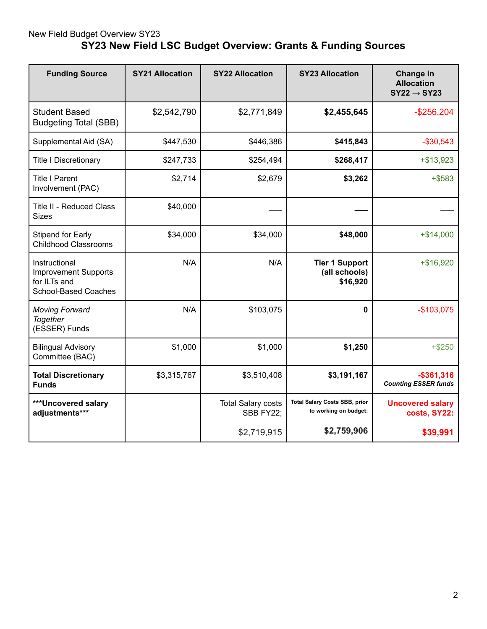# New Field Budget Overview SY23 **SY23 New Field LSC Budget Overview: Grants & Funding Sources**

| <b>Funding Source</b>                                                                | <b>SY21 Allocation</b> | <b>SY22 Allocation</b>                 | <b>SY23 Allocation</b>                                        | Change in<br><b>Allocation</b><br>$SY22 \rightarrow SY23$ |
|--------------------------------------------------------------------------------------|------------------------|----------------------------------------|---------------------------------------------------------------|-----------------------------------------------------------|
| <b>Student Based</b><br><b>Budgeting Total (SBB)</b>                                 | \$2,542,790            | \$2,771,849                            | \$2,455,645                                                   | $-$ \$256,204                                             |
| Supplemental Aid (SA)                                                                | \$447,530              | \$446,386                              | \$415,843                                                     | $-$30,543$                                                |
| <b>Title I Discretionary</b>                                                         | \$247,733              | \$254,494                              | \$268,417                                                     | $+ $13,923$                                               |
| <b>Title I Parent</b><br>Involvement (PAC)                                           | \$2,714                | \$2,679                                | \$3,262                                                       | $+$ \$583                                                 |
| Title II - Reduced Class<br><b>Sizes</b>                                             | \$40,000               |                                        |                                                               |                                                           |
| <b>Stipend for Early</b><br><b>Childhood Classrooms</b>                              | \$34,000               | \$34,000                               | \$48,000                                                      | $+ $14,000$                                               |
| Instructional<br><b>Improvement Supports</b><br>for ILTs and<br>School-Based Coaches | N/A                    | N/A                                    | <b>Tier 1 Support</b><br>(all schools)<br>\$16,920            | $+ $16,920$                                               |
| <b>Moving Forward</b><br>Together<br>(ESSER) Funds                                   | N/A                    | \$103,075                              | $\bf{0}$                                                      | $-$103,075$                                               |
| <b>Bilingual Advisory</b><br>Committee (BAC)                                         | \$1,000                | \$1,000                                | \$1,250                                                       | $+ $250$                                                  |
| <b>Total Discretionary</b><br><b>Funds</b>                                           | \$3,315,767            | \$3,510,408                            | \$3,191,167                                                   | $-$361,316$<br><b>Counting ESSER funds</b>                |
| ***Uncovered salary<br>adjustments***                                                |                        | <b>Total Salary costs</b><br>SBB FY22; | <b>Total Salary Costs SBB, prior</b><br>to working on budget: | <b>Uncovered salary</b><br>costs, SY22:                   |
|                                                                                      |                        | \$2,719,915                            | \$2,759,906                                                   | \$39,991                                                  |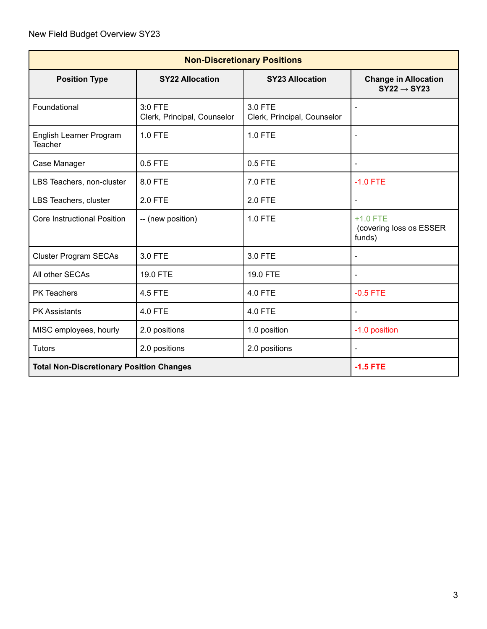| <b>Non-Discretionary Positions</b>              |                                        |                                        |                                                        |  |  |  |  |
|-------------------------------------------------|----------------------------------------|----------------------------------------|--------------------------------------------------------|--|--|--|--|
| <b>Position Type</b>                            | <b>SY22 Allocation</b>                 | <b>SY23 Allocation</b>                 | <b>Change in Allocation</b><br>$SY22 \rightarrow SY23$ |  |  |  |  |
| Foundational                                    | 3:0 FTE<br>Clerk, Principal, Counselor | 3.0 FTE<br>Clerk, Principal, Counselor | $\blacksquare$                                         |  |  |  |  |
| English Learner Program<br><b>Teacher</b>       | <b>1.0 FTE</b>                         | <b>1.0 FTE</b>                         |                                                        |  |  |  |  |
| Case Manager                                    | 0.5 FTE                                | $0.5$ FTE                              | $\blacksquare$                                         |  |  |  |  |
| LBS Teachers, non-cluster                       | 8.0 FTE                                | 7.0 FTE                                | $-1.0$ FTE                                             |  |  |  |  |
| LBS Teachers, cluster                           | 2.0 FTE                                | <b>2.0 FTE</b>                         |                                                        |  |  |  |  |
| <b>Core Instructional Position</b>              | -- (new position)                      | <b>1.0 FTE</b>                         | $+1.0$ FTE<br>(covering loss os ESSER<br>funds)        |  |  |  |  |
| <b>Cluster Program SECAs</b>                    | 3.0 FTE                                | 3.0 FTE                                |                                                        |  |  |  |  |
| All other SECAs                                 | <b>19.0 FTE</b>                        | <b>19.0 FTE</b>                        |                                                        |  |  |  |  |
| <b>PK Teachers</b>                              | 4.5 FTE                                | 4.0 FTE                                | $-0.5$ FTE                                             |  |  |  |  |
| <b>PK Assistants</b>                            | 4.0 FTE                                | 4.0 FTE                                |                                                        |  |  |  |  |
| MISC employees, hourly                          | 2.0 positions                          | 1.0 position                           | -1.0 position                                          |  |  |  |  |
| <b>Tutors</b>                                   | 2.0 positions                          | 2.0 positions                          |                                                        |  |  |  |  |
| <b>Total Non-Discretionary Position Changes</b> |                                        |                                        | $-1.5$ FTE                                             |  |  |  |  |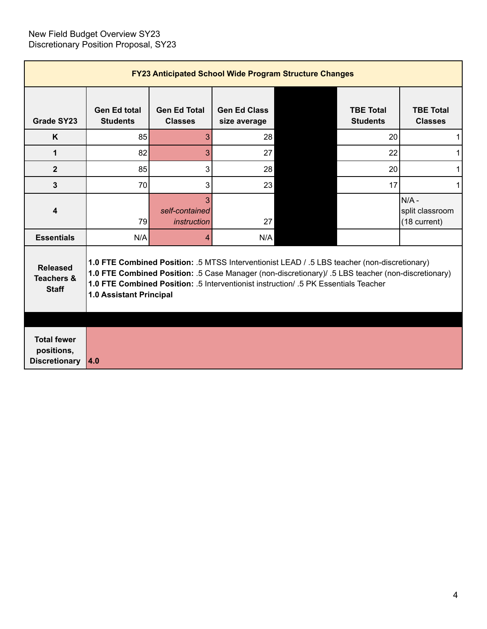| <b>FY23 Anticipated School Wide Program Structure Changes</b> |                                                                                                                                                                                                                                                                                                                             |                                       |                                     |  |                                     |                                           |  |  |  |
|---------------------------------------------------------------|-----------------------------------------------------------------------------------------------------------------------------------------------------------------------------------------------------------------------------------------------------------------------------------------------------------------------------|---------------------------------------|-------------------------------------|--|-------------------------------------|-------------------------------------------|--|--|--|
| Grade SY23                                                    | <b>Gen Ed total</b><br><b>Students</b>                                                                                                                                                                                                                                                                                      | <b>Gen Ed Total</b><br><b>Classes</b> | <b>Gen Ed Class</b><br>size average |  | <b>TBE Total</b><br><b>Students</b> | <b>TBE Total</b><br><b>Classes</b>        |  |  |  |
| K                                                             | 85                                                                                                                                                                                                                                                                                                                          | 3                                     | 28                                  |  | 20                                  | 1                                         |  |  |  |
| 1                                                             | 82                                                                                                                                                                                                                                                                                                                          | 3                                     | 27                                  |  | 22                                  | 1                                         |  |  |  |
| $\overline{2}$                                                | 85                                                                                                                                                                                                                                                                                                                          | 3                                     | 28                                  |  | 20                                  | 1                                         |  |  |  |
| 3                                                             | 70                                                                                                                                                                                                                                                                                                                          | 3                                     | 23                                  |  | 17                                  | 1                                         |  |  |  |
| 4                                                             | 79                                                                                                                                                                                                                                                                                                                          | 3<br>self-contained<br>instruction    | 27                                  |  |                                     | N/A-<br>split classroom<br>$(18$ current) |  |  |  |
| <b>Essentials</b>                                             | N/A                                                                                                                                                                                                                                                                                                                         | 4                                     | N/A                                 |  |                                     |                                           |  |  |  |
| <b>Released</b><br><b>Teachers &amp;</b><br><b>Staff</b>      | 1.0 FTE Combined Position: .5 MTSS Interventionist LEAD / .5 LBS teacher (non-discretionary)<br>1.0 FTE Combined Position: .5 Case Manager (non-discretionary)/ .5 LBS teacher (non-discretionary)<br>1.0 FTE Combined Position: .5 Interventionist instruction/ .5 PK Essentials Teacher<br><b>1.0 Assistant Principal</b> |                                       |                                     |  |                                     |                                           |  |  |  |
| <b>Total fewer</b><br>positions,<br><b>Discretionary</b>      | 4.0                                                                                                                                                                                                                                                                                                                         |                                       |                                     |  |                                     |                                           |  |  |  |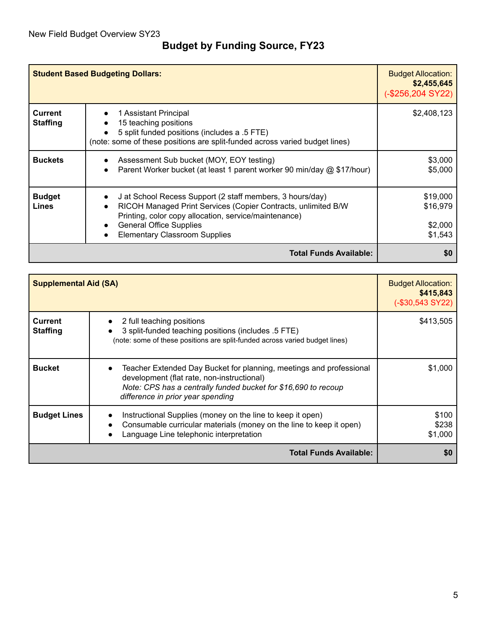# **Budget by Funding Source, FY23**

| <b>Student Based Budgeting Dollars:</b> | <b>Budget Allocation:</b><br>\$2,455,645<br>$(. $256, 204$ SY22)                                                                                                                                                                                                                                     |                                            |
|-----------------------------------------|------------------------------------------------------------------------------------------------------------------------------------------------------------------------------------------------------------------------------------------------------------------------------------------------------|--------------------------------------------|
| <b>Current</b><br><b>Staffing</b>       | 1 Assistant Principal<br>15 teaching positions<br>$\bullet$<br>5 split funded positions (includes a .5 FTE)<br>(note: some of these positions are split-funded across varied budget lines)                                                                                                           | \$2,408,123                                |
| <b>Buckets</b>                          | Assessment Sub bucket (MOY, EOY testing)<br>Parent Worker bucket (at least 1 parent worker 90 min/day @ \$17/hour)<br>$\bullet$                                                                                                                                                                      | \$3,000<br>\$5,000                         |
| <b>Budget</b><br><b>Lines</b>           | J at School Recess Support (2 staff members, 3 hours/day)<br>$\bullet$<br>RICOH Managed Print Services (Copier Contracts, unlimited B/W<br>$\bullet$<br>Printing, color copy allocation, service/maintenance)<br><b>General Office Supplies</b><br>$\bullet$<br><b>Elementary Classroom Supplies</b> | \$19,000<br>\$16,979<br>\$2,000<br>\$1,543 |
|                                         | \$0                                                                                                                                                                                                                                                                                                  |                                            |

| <b>Supplemental Aid (SA)</b>      | <b>Budget Allocation:</b><br>\$415,843<br>$(-\$30,543$ SY22)                                                                                                                                                             |                           |  |  |  |  |
|-----------------------------------|--------------------------------------------------------------------------------------------------------------------------------------------------------------------------------------------------------------------------|---------------------------|--|--|--|--|
| <b>Current</b><br><b>Staffing</b> | 2 full teaching positions<br>3 split-funded teaching positions (includes .5 FTE)<br>(note: some of these positions are split-funded across varied budget lines)                                                          | \$413,505                 |  |  |  |  |
| <b>Bucket</b>                     | Teacher Extended Day Bucket for planning, meetings and professional<br>development (flat rate, non-instructional)<br>Note: CPS has a centrally funded bucket for \$16,690 to recoup<br>difference in prior year spending | \$1,000                   |  |  |  |  |
| <b>Budget Lines</b>               | Instructional Supplies (money on the line to keep it open)<br>Consumable curricular materials (money on the line to keep it open)<br>Language Line telephonic interpretation                                             | \$100<br>\$238<br>\$1,000 |  |  |  |  |
|                                   | <b>Total Funds Available:</b>                                                                                                                                                                                            |                           |  |  |  |  |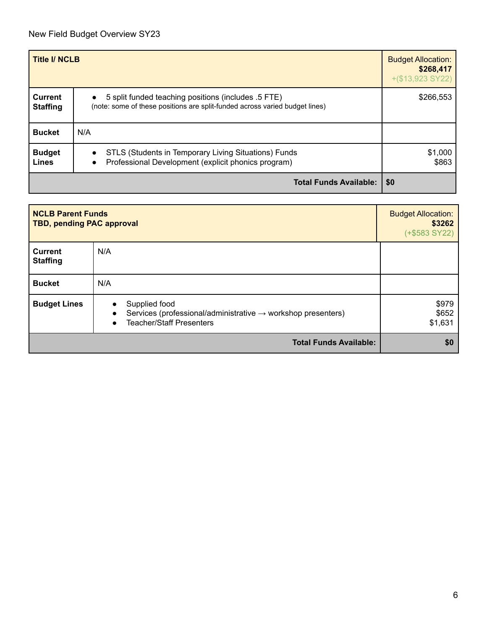| <b>Title I/ NCLB</b>              | <b>Budget Allocation:</b><br>\$268,417<br>$+(\$13,923$ SY22)                                                                                    |           |  |  |  |
|-----------------------------------|-------------------------------------------------------------------------------------------------------------------------------------------------|-----------|--|--|--|
| <b>Current</b><br><b>Staffing</b> | 5 split funded teaching positions (includes .5 FTE)<br>$\bullet$<br>(note: some of these positions are split-funded across varied budget lines) | \$266,553 |  |  |  |
| <b>Bucket</b>                     | N/A                                                                                                                                             |           |  |  |  |
| <b>Budget</b><br><b>Lines</b>     | STLS (Students in Temporary Living Situations) Funds<br>$\bullet$<br>Professional Development (explicit phonics program)<br>$\bullet$           |           |  |  |  |
|                                   | <b>Total Funds Available:</b>                                                                                                                   | \$0       |  |  |  |

| <b>NCLB Parent Funds</b><br><b>TBD, pending PAC approval</b> | <b>Budget Allocation:</b><br>\$3262<br>$(+$583 SY22)$                                                                                                               |                           |
|--------------------------------------------------------------|---------------------------------------------------------------------------------------------------------------------------------------------------------------------|---------------------------|
| <b>Current</b><br><b>Staffing</b>                            | N/A                                                                                                                                                                 |                           |
| <b>Bucket</b>                                                | N/A                                                                                                                                                                 |                           |
| <b>Budget Lines</b>                                          | Supplied food<br>$\bullet$<br>Services (professional/administrative $\rightarrow$ workshop presenters)<br>$\bullet$<br><b>Teacher/Staff Presenters</b><br>$\bullet$ | \$979<br>\$652<br>\$1,631 |
|                                                              | <b>Total Funds Available:</b>                                                                                                                                       | \$0                       |